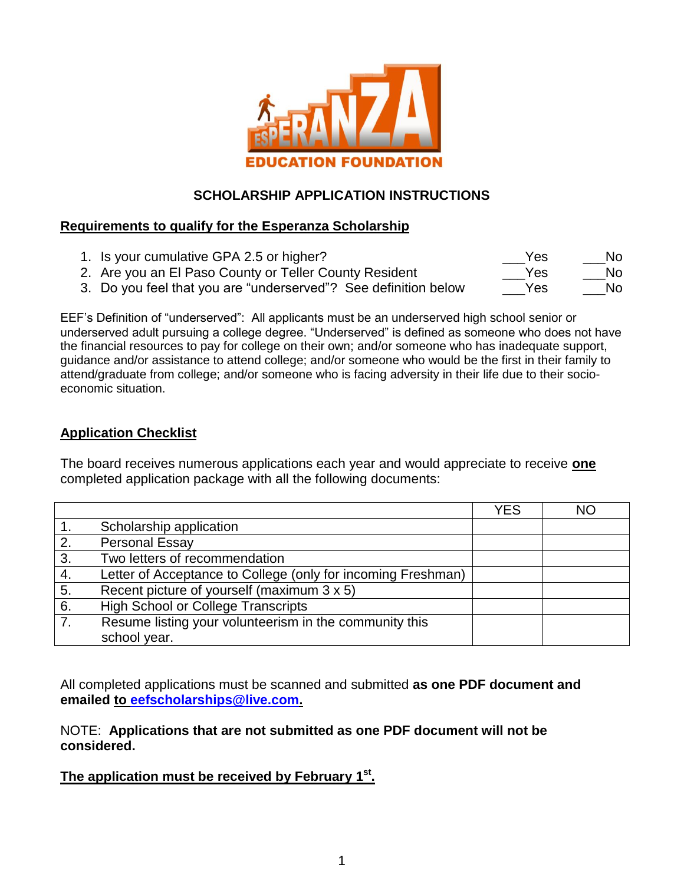

### **SCHOLARSHIP APPLICATION INSTRUCTIONS**

### **Requirements to qualify for the Esperanza Scholarship**

1. Is your cumulative GPA 2.5 or higher? \_\_\_Yes \_\_\_No

2. Are you an El Paso County or Teller County Resident The State States No

3. Do you feel that you are "underserved"? See definition below \_\_\_\_Yes \_\_\_\_\_No

EEF's Definition of "underserved": All applicants must be an underserved high school senior or underserved adult pursuing a college degree. "Underserved" is defined as someone who does not have the financial resources to pay for college on their own; and/or someone who has inadequate support, guidance and/or assistance to attend college; and/or someone who would be the first in their family to attend/graduate from college; and/or someone who is facing adversity in their life due to their socioeconomic situation.

### **Application Checklist**

The board receives numerous applications each year and would appreciate to receive **one** completed application package with all the following documents:

|    |                                                              | <b>YES</b> | <b>NO</b> |
|----|--------------------------------------------------------------|------------|-----------|
|    | Scholarship application                                      |            |           |
| 2. | Personal Essay                                               |            |           |
| 3. | Two letters of recommendation                                |            |           |
| 4. | Letter of Acceptance to College (only for incoming Freshman) |            |           |
| 5. | Recent picture of yourself (maximum 3 x 5)                   |            |           |
| 6. | <b>High School or College Transcripts</b>                    |            |           |
| 7. | Resume listing your volunteerism in the community this       |            |           |
|    | school year.                                                 |            |           |

All completed applications must be scanned and submitted **as one PDF document and emailed to [eefscholarships@live.com.](mailto:eefscholarships@live.com)** 

NOTE: **Applications that are not submitted as one PDF document will not be considered.**

**The application must be received by February 1 st .**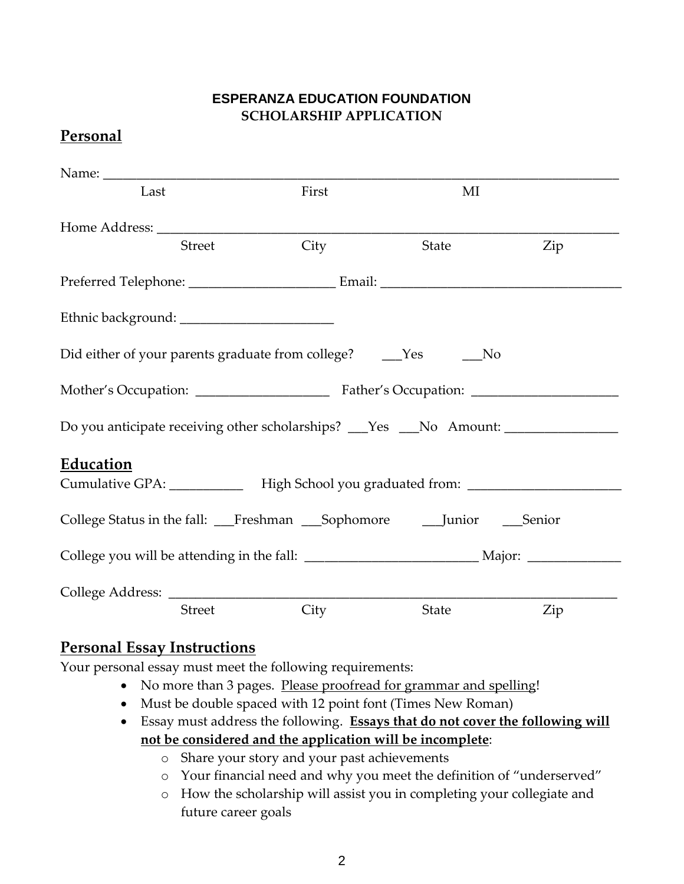### **ESPERANZA EDUCATION FOUNDATION SCHOLARSHIP APPLICATION**

## **Personal**

| Last                                                                                                 |               | First                                                                            | MI    |     |  |  |
|------------------------------------------------------------------------------------------------------|---------------|----------------------------------------------------------------------------------|-------|-----|--|--|
|                                                                                                      |               |                                                                                  |       |     |  |  |
|                                                                                                      | <b>Street</b> | City                                                                             | State | Zip |  |  |
|                                                                                                      |               |                                                                                  |       |     |  |  |
|                                                                                                      |               |                                                                                  |       |     |  |  |
| Did either of your parents graduate from college? ______Yes<br>No.                                   |               |                                                                                  |       |     |  |  |
|                                                                                                      |               |                                                                                  |       |     |  |  |
|                                                                                                      |               | Do you anticipate receiving other scholarships? __Yes __No Amount: _____________ |       |     |  |  |
| <b>Education</b>                                                                                     |               | Cumulative GPA: ______________ High School you graduated from: _________________ |       |     |  |  |
|                                                                                                      |               | College Status in the fall: __Freshman __Sophomore _____Junior ____Senior        |       |     |  |  |
| College you will be attending in the fall: __________________________________Major: ________________ |               |                                                                                  |       |     |  |  |
|                                                                                                      |               |                                                                                  |       |     |  |  |
|                                                                                                      | <b>Street</b> | City                                                                             | State | Zip |  |  |

## **Personal Essay Instructions**

Your personal essay must meet the following requirements:

- No more than 3 pages. Please proofread for grammar and spelling!
- Must be double spaced with 12 point font (Times New Roman)
- Essay must address the following. **Essays that do not cover the following will not be considered and the application will be incomplete**:
	- o Share your story and your past achievements
	- o Your financial need and why you meet the definition of "underserved"
	- o How the scholarship will assist you in completing your collegiate and future career goals